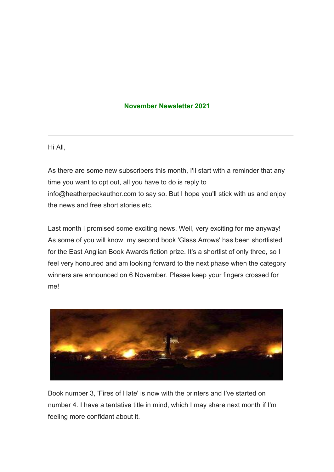## **November Newsletter 2021**

Hi All,

As there are some new subscribers this month, I'll start with a reminder that any time you want to opt out, all you have to do is reply to info@heatherpeckauthor.com to say so. But I hope you'll stick with us and enjoy the news and free short stories etc.

Last month I promised some exciting news. Well, very exciting for me anyway! As some of you will know, my second book 'Glass Arrows' has been shortlisted for the East Anglian Book Awards fiction prize. It's a shortlist of only three, so I feel very honoured and am looking forward to the next phase when the category winners are announced on 6 November. Please keep your fingers crossed for me!



Book number 3, 'Fires of Hate' is now with the printers and I've started on number 4. I have a tentative title in mind, which I may share next month if I'm feeling more confidant about it.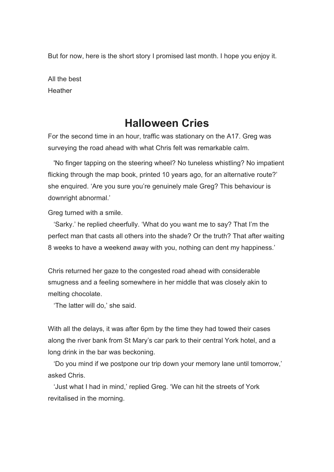But for now, here is the short story I promised last month. I hope you enjoy it.

All the best **Heather** 

## **Halloween Cries**

For the second time in an hour, traffic was stationary on the A17. Greg was surveying the road ahead with what Chris felt was remarkable calm.

'No finger tapping on the steering wheel? No tuneless whistling? No impatient flicking through the map book, printed 10 years ago, for an alternative route?' she enquired. 'Are you sure you're genuinely male Greg? This behaviour is downright abnormal.'

Greg turned with a smile.

'Sarky.' he replied cheerfully. 'What do you want me to say? That I'm the perfect man that casts all others into the shade? Or the truth? That after waiting 8 weeks to have a weekend away with you, nothing can dent my happiness.'

Chris returned her gaze to the congested road ahead with considerable smugness and a feeling somewhere in her middle that was closely akin to melting chocolate.

'The latter will do,' she said.

With all the delays, it was after 6pm by the time they had towed their cases along the river bank from St Mary's car park to their central York hotel, and a long drink in the bar was beckoning.

'Do you mind if we postpone our trip down your memory lane until tomorrow,' asked Chris.

'Just what I had in mind,' replied Greg. 'We can hit the streets of York revitalised in the morning.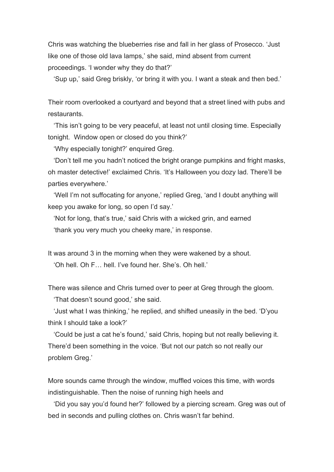Chris was watching the blueberries rise and fall in her glass of Prosecco. 'Just like one of those old lava lamps,' she said, mind absent from current proceedings. 'I wonder why they do that?'

'Sup up,' said Greg briskly, 'or bring it with you. I want a steak and then bed.'

Their room overlooked a courtyard and beyond that a street lined with pubs and restaurants.

'This isn't going to be very peaceful, at least not until closing time. Especially tonight. Window open or closed do you think?'

'Why especially tonight?' enquired Greg.

'Don't tell me you hadn't noticed the bright orange pumpkins and fright masks, oh master detective!' exclaimed Chris. 'It's Halloween you dozy lad. There'll be parties everywhere.'

'Well I'm not suffocating for anyone,' replied Greg, 'and I doubt anything will keep you awake for long, so open I'd say.'

'Not for long, that's true,' said Chris with a wicked grin, and earned 'thank you very much you cheeky mare,' in response.

It was around 3 in the morning when they were wakened by a shout. 'Oh hell. Oh F… hell. I've found her. She's. Oh hell.'

There was silence and Chris turned over to peer at Greg through the gloom. 'That doesn't sound good,' she said.

'Just what I was thinking,' he replied, and shifted uneasily in the bed. 'D'you think I should take a look?'

'Could be just a cat he's found,' said Chris, hoping but not really believing it. There'd been something in the voice. 'But not our patch so not really our problem Greg.'

More sounds came through the window, muffled voices this time, with words indistinguishable. Then the noise of running high heels and

'Did you say you'd found her?' followed by a piercing scream. Greg was out of bed in seconds and pulling clothes on. Chris wasn't far behind.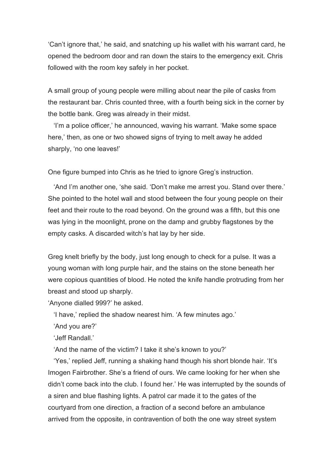'Can't ignore that,' he said, and snatching up his wallet with his warrant card, he opened the bedroom door and ran down the stairs to the emergency exit. Chris followed with the room key safely in her pocket.

A small group of young people were milling about near the pile of casks from the restaurant bar. Chris counted three, with a fourth being sick in the corner by the bottle bank. Greg was already in their midst.

'I'm a police officer,' he announced, waving his warrant. 'Make some space here,' then, as one or two showed signs of trying to melt away he added sharply, 'no one leaves!'

One figure bumped into Chris as he tried to ignore Greg's instruction.

'And I'm another one, 'she said. 'Don't make me arrest you. Stand over there.' She pointed to the hotel wall and stood between the four young people on their feet and their route to the road beyond. On the ground was a fifth, but this one was lying in the moonlight, prone on the damp and grubby flagstones by the empty casks. A discarded witch's hat lay by her side.

Greg knelt briefly by the body, just long enough to check for a pulse. It was a young woman with long purple hair, and the stains on the stone beneath her were copious quantities of blood. He noted the knife handle protruding from her breast and stood up sharply.

'Anyone dialled 999?' he asked.

'I have,' replied the shadow nearest him. 'A few minutes ago.'

'And you are?'

'Jeff Randall.'

'And the name of the victim? I take it she's known to you?'

'Yes,' replied Jeff, running a shaking hand though his short blonde hair. 'It's Imogen Fairbrother. She's a friend of ours. We came looking for her when she didn't come back into the club. I found her.' He was interrupted by the sounds of a siren and blue flashing lights. A patrol car made it to the gates of the courtyard from one direction, a fraction of a second before an ambulance arrived from the opposite, in contravention of both the one way street system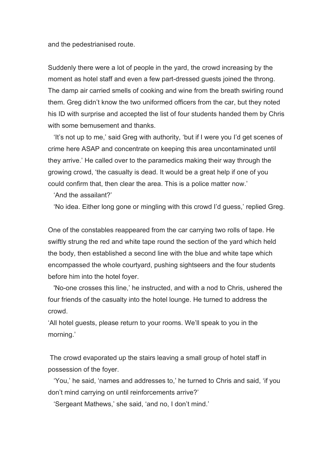and the pedestrianised route.

Suddenly there were a lot of people in the yard, the crowd increasing by the moment as hotel staff and even a few part-dressed guests joined the throng. The damp air carried smells of cooking and wine from the breath swirling round them. Greg didn't know the two uniformed officers from the car, but they noted his ID with surprise and accepted the list of four students handed them by Chris with some bemusement and thanks.

'It's not up to me,' said Greg with authority, 'but if I were you I'd get scenes of crime here ASAP and concentrate on keeping this area uncontaminated until they arrive.' He called over to the paramedics making their way through the growing crowd, 'the casualty is dead. It would be a great help if one of you could confirm that, then clear the area. This is a police matter now.'

'And the assailant?'

'No idea. Either long gone or mingling with this crowd I'd guess,' replied Greg.

One of the constables reappeared from the car carrying two rolls of tape. He swiftly strung the red and white tape round the section of the yard which held the body, then established a second line with the blue and white tape which encompassed the whole courtyard, pushing sightseers and the four students before him into the hotel foyer.

'No-one crosses this line,' he instructed, and with a nod to Chris, ushered the four friends of the casualty into the hotel lounge. He turned to address the crowd.

'All hotel guests, please return to your rooms. We'll speak to you in the morning.'

The crowd evaporated up the stairs leaving a small group of hotel staff in possession of the foyer.

'You,' he said, 'names and addresses to,' he turned to Chris and said, 'if you don't mind carrying on until reinforcements arrive?'

'Sergeant Mathews,' she said, 'and no, I don't mind.'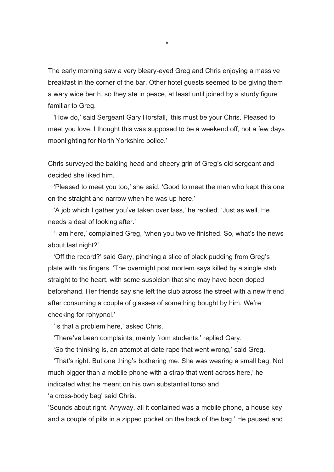The early morning saw a very bleary-eyed Greg and Chris enjoying a massive breakfast in the corner of the bar. Other hotel guests seemed to be giving them a wary wide berth, so they ate in peace, at least until joined by a sturdy figure familiar to Greg.

'How do,' said Sergeant Gary Horsfall, 'this must be your Chris. Pleased to meet you love. I thought this was supposed to be a weekend off, not a few days moonlighting for North Yorkshire police.'

Chris surveyed the balding head and cheery grin of Greg's old sergeant and decided she liked him.

'Pleased to meet you too,' she said. 'Good to meet the man who kept this one on the straight and narrow when he was up here.'

'A job which I gather you've taken over lass,' he replied. 'Just as well. He needs a deal of looking after.'

'I am here,' complained Greg, 'when you two've finished. So, what's the news about last night?'

'Off the record?' said Gary, pinching a slice of black pudding from Greg's plate with his fingers. 'The overnight post mortem says killed by a single stab straight to the heart, with some suspicion that she may have been doped beforehand. Her friends say she left the club across the street with a new friend after consuming a couple of glasses of something bought by him. We're checking for rohypnol.'

'Is that a problem here,' asked Chris.

'There've been complaints, mainly from students,' replied Gary.

'So the thinking is, an attempt at date rape that went wrong,' said Greg.

'That's right. But one thing's bothering me. She was wearing a small bag. Not much bigger than a mobile phone with a strap that went across here,' he indicated what he meant on his own substantial torso and

'a cross-body bag' said Chris.

'Sounds about right. Anyway, all it contained was a mobile phone, a house key and a couple of pills in a zipped pocket on the back of the bag.' He paused and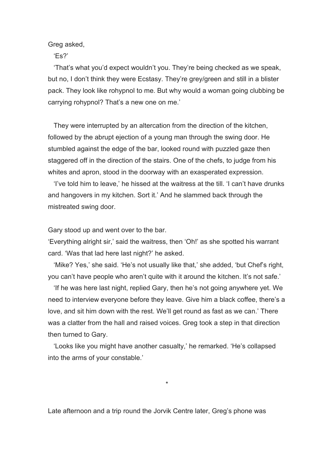Greg asked,

'Es?'

'That's what you'd expect wouldn't you. They're being checked as we speak, but no, I don't think they were Ecstasy. They're grey/green and still in a blister pack. They look like rohypnol to me. But why would a woman going clubbing be carrying rohypnol? That's a new one on me.'

They were interrupted by an altercation from the direction of the kitchen, followed by the abrupt ejection of a young man through the swing door. He stumbled against the edge of the bar, looked round with puzzled gaze then staggered off in the direction of the stairs. One of the chefs, to judge from his whites and apron, stood in the doorway with an exasperated expression.

'I've told him to leave,' he hissed at the waitress at the till. 'I can't have drunks and hangovers in my kitchen. Sort it.' And he slammed back through the mistreated swing door.

Gary stood up and went over to the bar.

'Everything alright sir,' said the waitress, then 'Oh!' as she spotted his warrant card. 'Was that lad here last night?' he asked.

'Mike? Yes,' she said. 'He's not usually like that,' she added, 'but Chef's right, you can't have people who aren't quite with it around the kitchen. It's not safe.'

'If he was here last night, replied Gary, then he's not going anywhere yet. We need to interview everyone before they leave. Give him a black coffee, there's a love, and sit him down with the rest. We'll get round as fast as we can.' There was a clatter from the hall and raised voices. Greg took a step in that direction then turned to Gary.

'Looks like you might have another casualty,' he remarked. 'He's collapsed into the arms of your constable.'

\*

Late afternoon and a trip round the Jorvik Centre later, Greg's phone was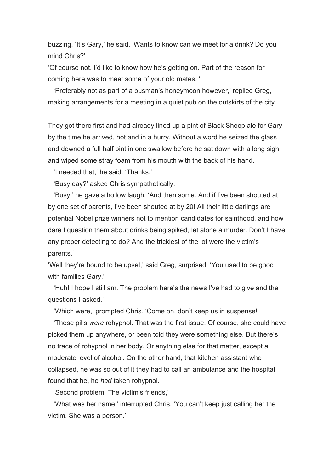buzzing. 'It's Gary,' he said. 'Wants to know can we meet for a drink? Do you mind Chris?'

'Of course not. I'd like to know how he's getting on. Part of the reason for coming here was to meet some of your old mates. '

'Preferably not as part of a busman's honeymoon however,' replied Greg, making arrangements for a meeting in a quiet pub on the outskirts of the city.

They got there first and had already lined up a pint of Black Sheep ale for Gary by the time he arrived, hot and in a hurry. Without a word he seized the glass and downed a full half pint in one swallow before he sat down with a long sigh and wiped some stray foam from his mouth with the back of his hand.

'I needed that,' he said. 'Thanks.'

'Busy day?' asked Chris sympathetically.

'Busy,' he gave a hollow laugh. 'And then some. And if I've been shouted at by one set of parents, I've been shouted at by 20! All their little darlings are potential Nobel prize winners not to mention candidates for sainthood, and how dare I question them about drinks being spiked, let alone a murder. Don't I have any proper detecting to do? And the trickiest of the lot were the victim's parents.'

'Well they're bound to be upset,' said Greg, surprised. 'You used to be good with families Gary.'

'Huh! I hope I still am. The problem here's the news I've had to give and the questions I asked.'

'Which were,' prompted Chris. 'Come on, don't keep us in suspense!'

'Those pills *were* rohypnol. That was the first issue. Of course, she could have picked them up anywhere, or been told they were something else. But there's no trace of rohypnol in her body. Or anything else for that matter, except a moderate level of alcohol. On the other hand, that kitchen assistant who collapsed, he was so out of it they had to call an ambulance and the hospital found that he, he *had* taken rohypnol.

'Second problem. The victim's friends,'

'What was her name,' interrupted Chris. 'You can't keep just calling her the victim. She was a person.'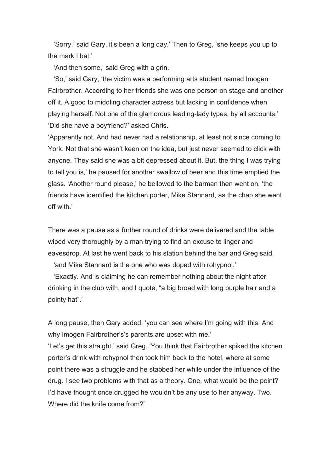'Sorry,' said Gary, it's been a long day.' Then to Greg, 'she keeps you up to the mark I bet.'

'And then some,' said Greg with a grin.

'So,' said Gary, 'the victim was a performing arts student named Imogen Fairbrother. According to her friends she was one person on stage and another off it. A good to middling character actress but lacking in confidence when playing herself. Not one of the glamorous leading-lady types, by all accounts.' 'Did she have a boyfriend?' asked Chris.

'Apparently not. And had never had a relationship, at least not since coming to York. Not that she wasn't keen on the idea, but just never seemed to click with anyone. They said she was a bit depressed about it. But, the thing I was trying to tell you is,' he paused for another swallow of beer and this time emptied the glass. 'Another round please,' he bellowed to the barman then went on, 'the friends have identified the kitchen porter, Mike Stannard, as the chap she went off with.'

There was a pause as a further round of drinks were delivered and the table wiped very thoroughly by a man trying to find an excuse to linger and eavesdrop. At last he went back to his station behind the bar and Greg said,

'and Mike Stannard is the one who was doped with rohypnol.'

'Exactly. And is claiming he can remember nothing about the night after drinking in the club with, and I quote, "a big broad with long purple hair and a pointy hat".'

A long pause, then Gary added, 'you can see where I'm going with this. And why Imogen Fairbrother's's parents are upset with me.' 'Let's get this straight,' said Greg. 'You think that Fairbrother spiked the kitchen porter's drink with rohypnol then took him back to the hotel, where at some point there was a struggle and he stabbed her while under the influence of the drug. I see two problems with that as a theory. One, what would be the point? I'd have thought once drugged he wouldn't be any use to her anyway. Two. Where did the knife come from?'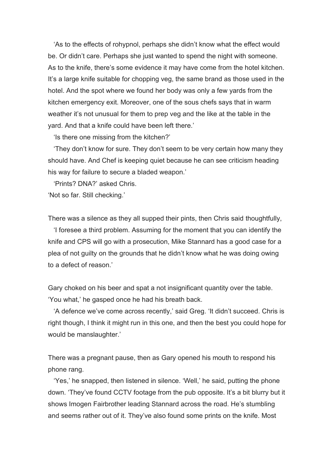'As to the effects of rohypnol, perhaps she didn't know what the effect would be. Or didn't care. Perhaps she just wanted to spend the night with someone. As to the knife, there's some evidence it may have come from the hotel kitchen. It's a large knife suitable for chopping veg, the same brand as those used in the hotel. And the spot where we found her body was only a few yards from the kitchen emergency exit. Moreover, one of the sous chefs says that in warm weather it's not unusual for them to prep veg and the like at the table in the yard. And that a knife could have been left there.'

'Is there one missing from the kitchen?'

'They don't know for sure. They don't seem to be very certain how many they should have. And Chef is keeping quiet because he can see criticism heading his way for failure to secure a bladed weapon.'

'Prints? DNA?' asked Chris.

'Not so far. Still checking.'

There was a silence as they all supped their pints, then Chris said thoughtfully,

'I foresee a third problem. Assuming for the moment that you can identify the knife and CPS will go with a prosecution, Mike Stannard has a good case for a plea of not guilty on the grounds that he didn't know what he was doing owing to a defect of reason.'

Gary choked on his beer and spat a not insignificant quantity over the table. 'You what,' he gasped once he had his breath back.

'A defence we've come across recently,' said Greg. 'It didn't succeed. Chris is right though, I think it might run in this one, and then the best you could hope for would be manslaughter.'

There was a pregnant pause, then as Gary opened his mouth to respond his phone rang.

'Yes,' he snapped, then listened in silence. 'Well,' he said, putting the phone down. 'They've found CCTV footage from the pub opposite. It's a bit blurry but it shows Imogen Fairbrother leading Stannard across the road. He's stumbling and seems rather out of it. They've also found some prints on the knife. Most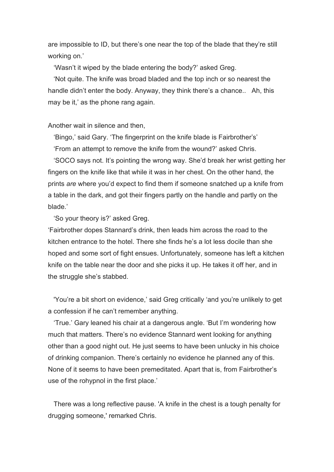are impossible to ID, but there's one near the top of the blade that they're still working on.'

'Wasn't it wiped by the blade entering the body?' asked Greg.

'Not quite. The knife was broad bladed and the top inch or so nearest the handle didn't enter the body. Anyway, they think there's a chance.. Ah, this may be it,' as the phone rang again.

## Another wait in silence and then,

'Bingo,' said Gary. 'The fingerprint on the knife blade is Fairbrother's'

'From an attempt to remove the knife from the wound?' asked Chris.

'SOCO says not. It's pointing the wrong way. She'd break her wrist getting her fingers on the knife like that while it was in her chest. On the other hand, the prints *are* where you'd expect to find them if someone snatched up a knife from a table in the dark, and got their fingers partly on the handle and partly on the blade.'

'So your theory is?' asked Greg.

'Fairbrother dopes Stannard's drink, then leads him across the road to the kitchen entrance to the hotel. There she finds he's a lot less docile than she hoped and some sort of fight ensues. Unfortunately, someone has left a kitchen knife on the table near the door and she picks it up. He takes it off her, and in the struggle she's stabbed.

'You're a bit short on evidence,' said Greg critically 'and you're unlikely to get a confession if he can't remember anything.

'True.' Gary leaned his chair at a dangerous angle. 'But I'm wondering how much that matters. There's no evidence Stannard went looking for anything other than a good night out. He just seems to have been unlucky in his choice of drinking companion. There's certainly no evidence he planned any of this. None of it seems to have been premeditated. Apart that is, from Fairbrother's use of the rohypnol in the first place.'

There was a long reflective pause. 'A knife in the chest is a tough penalty for drugging someone,' remarked Chris.